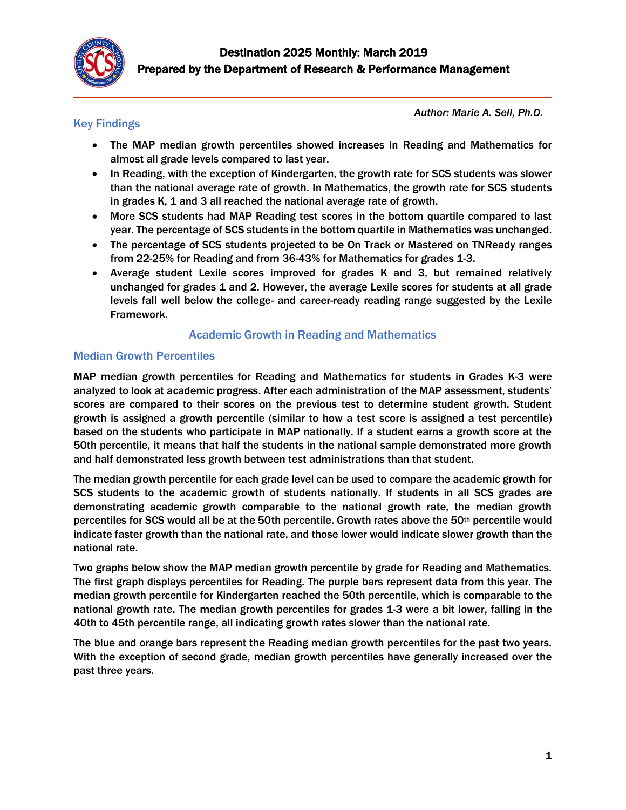

## Key Findings

*Author: Marie A. Sell, Ph.D.*

- The MAP median growth percentiles showed increases in Reading and Mathematics for almost all grade levels compared to last year.
- In Reading, with the exception of Kindergarten, the growth rate for SCS students was slower than the national average rate of growth. In Mathematics, the growth rate for SCS students in grades K, 1 and 3 all reached the national average rate of growth.
- More SCS students had MAP Reading test scores in the bottom quartile compared to last year. The percentage of SCS students in the bottom quartile in Mathematics was unchanged.
- The percentage of SCS students projected to be On Track or Mastered on TNReady ranges from 22-25% for Reading and from 36-43% for Mathematics for grades 1-3.
- Average student Lexile scores improved for grades K and 3, but remained relatively unchanged for grades 1 and 2. However, the average Lexile scores for students at all grade levels fall well below the college- and career-ready reading range suggested by the Lexile Framework.

## Academic Growth in Reading and Mathematics

### Median Growth Percentiles

MAP median growth percentiles for Reading and Mathematics for students in Grades K-3 were analyzed to look at academic progress. After each administration of the MAP assessment, students' scores are compared to their scores on the previous test to determine student growth. Student growth is assigned a growth percentile (similar to how a test score is assigned a test percentile) based on the students who participate in MAP nationally. If a student earns a growth score at the 50th percentile, it means that half the students in the national sample demonstrated more growth and half demonstrated less growth between test administrations than that student.

The median growth percentile for each grade level can be used to compare the academic growth for SCS students to the academic growth of students nationally. If students in all SCS grades are demonstrating academic growth comparable to the national growth rate, the median growth percentiles for SCS would all be at the 50th percentile. Growth rates above the 50th percentile would indicate faster growth than the national rate, and those lower would indicate slower growth than the national rate.

Two graphs below show the MAP median growth percentile by grade for Reading and Mathematics. The first graph displays percentiles for Reading. The purple bars represent data from this year. The median growth percentile for Kindergarten reached the 50th percentile, which is comparable to the national growth rate. The median growth percentiles for grades 1-3 were a bit lower, falling in the 40th to 45th percentile range, all indicating growth rates slower than the national rate.

The blue and orange bars represent the Reading median growth percentiles for the past two years. With the exception of second grade, median growth percentiles have generally increased over the past three years.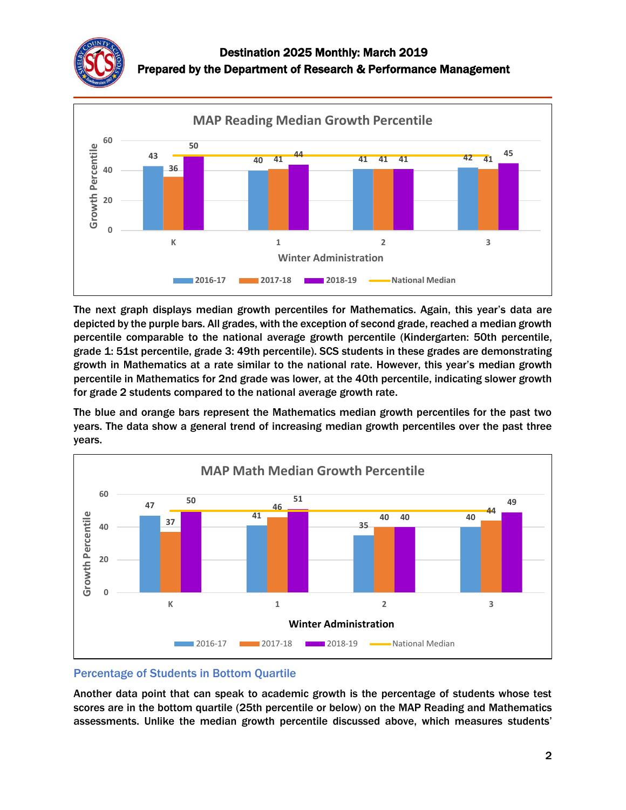



The next graph displays median growth percentiles for Mathematics. Again, this year's data are depicted by the purple bars. All grades, with the exception of second grade, reached a median growth percentile comparable to the national average growth percentile (Kindergarten: 50th percentile, grade 1: 51st percentile, grade 3: 49th percentile). SCS students in these grades are demonstrating growth in Mathematics at a rate similar to the national rate. However, this year's median growth percentile in Mathematics for 2nd grade was lower, at the 40th percentile, indicating slower growth for grade 2 students compared to the national average growth rate.

The blue and orange bars represent the Mathematics median growth percentiles for the past two years. The data show a general trend of increasing median growth percentiles over the past three years.



### Percentage of Students in Bottom Quartile

Another data point that can speak to academic growth is the percentage of students whose test scores are in the bottom quartile (25th percentile or below) on the MAP Reading and Mathematics assessments. Unlike the median growth percentile discussed above, which measures students'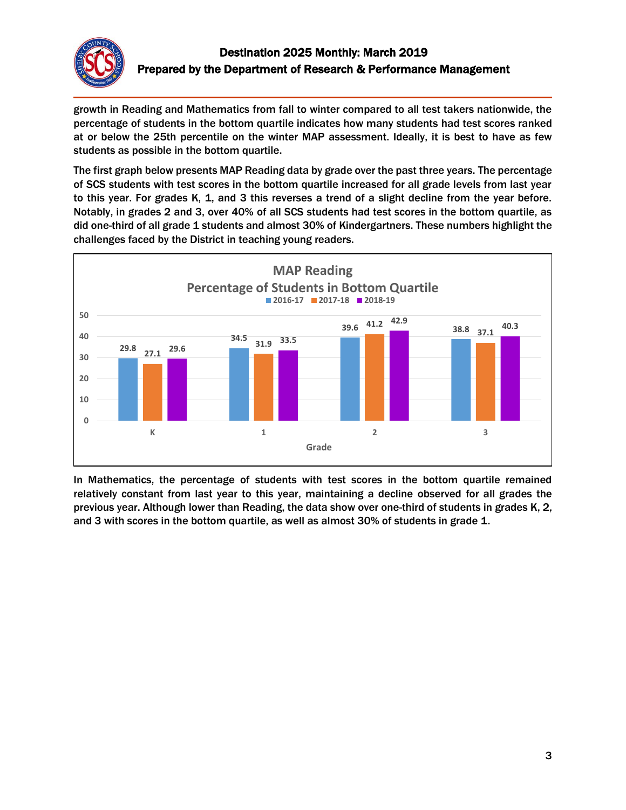

growth in Reading and Mathematics from fall to winter compared to all test takers nationwide, the percentage of students in the bottom quartile indicates how many students had test scores ranked at or below the 25th percentile on the winter MAP assessment. Ideally, it is best to have as few students as possible in the bottom quartile.

The first graph below presents MAP Reading data by grade over the past three years. The percentage of SCS students with test scores in the bottom quartile increased for all grade levels from last year to this year. For grades K, 1, and 3 this reverses a trend of a slight decline from the year before. Notably, in grades 2 and 3, over 40% of all SCS students had test scores in the bottom quartile, as did one-third of all grade 1 students and almost 30% of Kindergartners. These numbers highlight the challenges faced by the District in teaching young readers.



In Mathematics, the percentage of students with test scores in the bottom quartile remained relatively constant from last year to this year, maintaining a decline observed for all grades the previous year. Although lower than Reading, the data show over one-third of students in grades K, 2, and 3 with scores in the bottom quartile, as well as almost 30% of students in grade 1.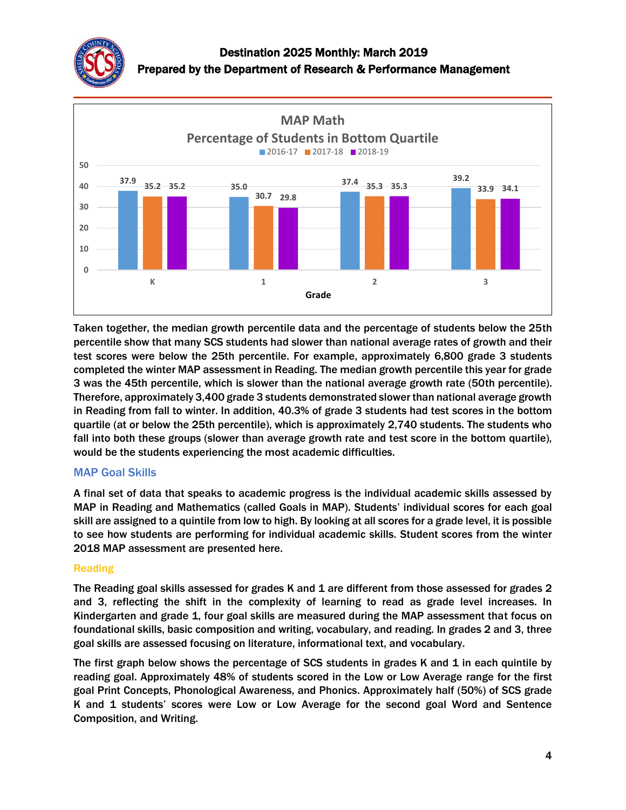



Taken together, the median growth percentile data and the percentage of students below the 25th percentile show that many SCS students had slower than national average rates of growth and their test scores were below the 25th percentile. For example, approximately 6,800 grade 3 students completed the winter MAP assessment in Reading. The median growth percentile this year for grade 3 was the 45th percentile, which is slower than the national average growth rate (50th percentile). Therefore, approximately 3,400 grade 3 students demonstrated slower than national average growth in Reading from fall to winter. In addition, 40.3% of grade 3 students had test scores in the bottom quartile (at or below the 25th percentile), which is approximately 2,740 students. The students who fall into both these groups (slower than average growth rate and test score in the bottom quartile), would be the students experiencing the most academic difficulties.

## MAP Goal Skills

A final set of data that speaks to academic progress is the individual academic skills assessed by MAP in Reading and Mathematics (called Goals in MAP). Students' individual scores for each goal skill are assigned to a quintile from low to high. By looking at all scores for a grade level, it is possible to see how students are performing for individual academic skills. Student scores from the winter 2018 MAP assessment are presented here.

### Reading

The Reading goal skills assessed for grades K and 1 are different from those assessed for grades 2 and 3, reflecting the shift in the complexity of learning to read as grade level increases. In Kindergarten and grade 1, four goal skills are measured during the MAP assessment that focus on foundational skills, basic composition and writing, vocabulary, and reading. In grades 2 and 3, three goal skills are assessed focusing on literature, informational text, and vocabulary.

The first graph below shows the percentage of SCS students in grades K and 1 in each quintile by reading goal. Approximately 48% of students scored in the Low or Low Average range for the first goal Print Concepts, Phonological Awareness, and Phonics. Approximately half (50%) of SCS grade K and 1 students' scores were Low or Low Average for the second goal Word and Sentence Composition, and Writing.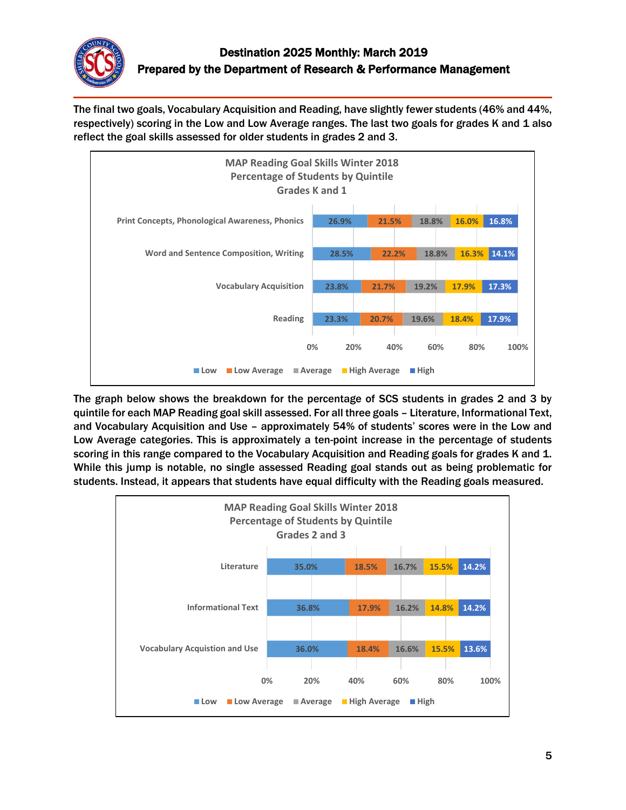

The final two goals, Vocabulary Acquisition and Reading, have slightly fewer students (46% and 44%, respectively) scoring in the Low and Low Average ranges. The last two goals for grades K and 1 also reflect the goal skills assessed for older students in grades 2 and 3.



The graph below shows the breakdown for the percentage of SCS students in grades 2 and 3 by quintile for each MAP Reading goal skill assessed. For all three goals – Literature, Informational Text, and Vocabulary Acquisition and Use – approximately 54% of students' scores were in the Low and Low Average categories. This is approximately a ten-point increase in the percentage of students scoring in this range compared to the Vocabulary Acquisition and Reading goals for grades K and 1. While this jump is notable, no single assessed Reading goal stands out as being problematic for students. Instead, it appears that students have equal difficulty with the Reading goals measured.

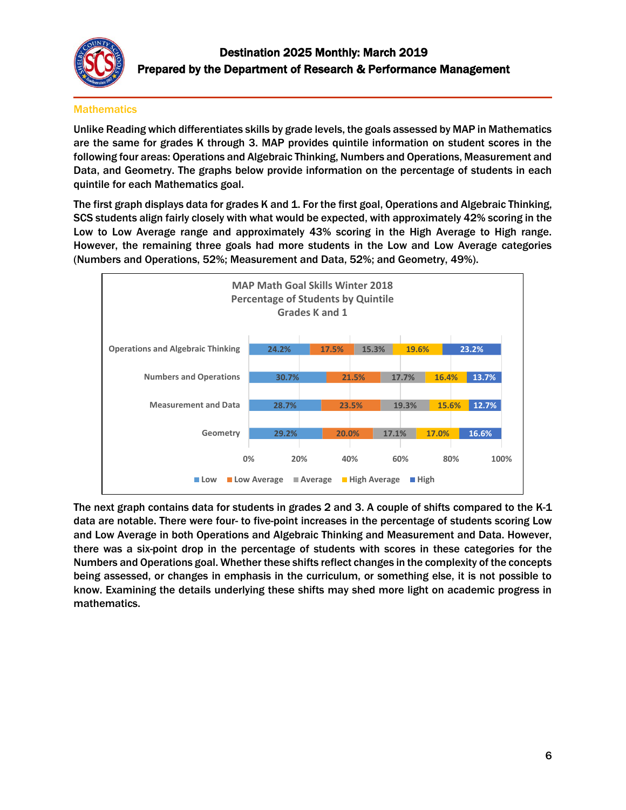

### **Mathematics**

Unlike Reading which differentiates skills by grade levels, the goals assessed by MAP in Mathematics are the same for grades K through 3. MAP provides quintile information on student scores in the following four areas: Operations and Algebraic Thinking, Numbers and Operations, Measurement and Data, and Geometry. The graphs below provide information on the percentage of students in each quintile for each Mathematics goal.

The first graph displays data for grades K and 1. For the first goal, Operations and Algebraic Thinking, SCS students align fairly closely with what would be expected, with approximately 42% scoring in the Low to Low Average range and approximately 43% scoring in the High Average to High range. However, the remaining three goals had more students in the Low and Low Average categories (Numbers and Operations, 52%; Measurement and Data, 52%; and Geometry, 49%).



The next graph contains data for students in grades 2 and 3. A couple of shifts compared to the K-1 data are notable. There were four- to five-point increases in the percentage of students scoring Low and Low Average in both Operations and Algebraic Thinking and Measurement and Data. However, there was a six-point drop in the percentage of students with scores in these categories for the Numbers and Operations goal. Whether these shifts reflect changes in the complexity of the concepts being assessed, or changes in emphasis in the curriculum, or something else, it is not possible to know. Examining the details underlying these shifts may shed more light on academic progress in mathematics.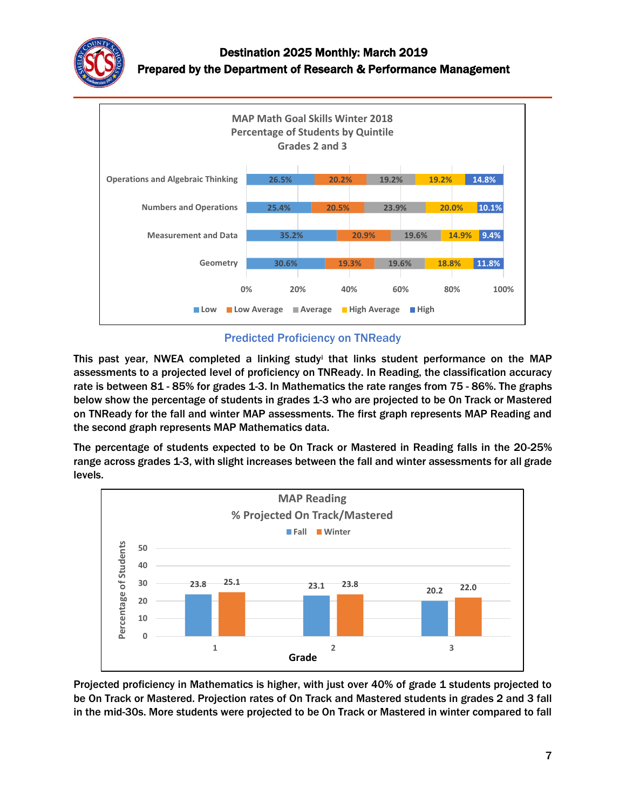



### Predicted Proficiency on TNReady

This past year, NWEA completed a linking study<sup>i</sup> that links student performance on the MAP assessments to a projected level of proficiency on TNReady. In Reading, the classification accuracy rate is between 81 - 85% for grades 1-3. In Mathematics the rate ranges from 75 - 86%. The graphs below show the percentage of students in grades 1-3 who are projected to be On Track or Mastered on TNReady for the fall and winter MAP assessments. The first graph represents MAP Reading and the second graph represents MAP Mathematics data.

The percentage of students expected to be On Track or Mastered in Reading falls in the 20-25% range across grades 1-3, with slight increases between the fall and winter assessments for all grade levels.



Projected proficiency in Mathematics is higher, with just over 40% of grade 1 students projected to be On Track or Mastered. Projection rates of On Track and Mastered students in grades 2 and 3 fall in the mid-30s. More students were projected to be On Track or Mastered in winter compared to fall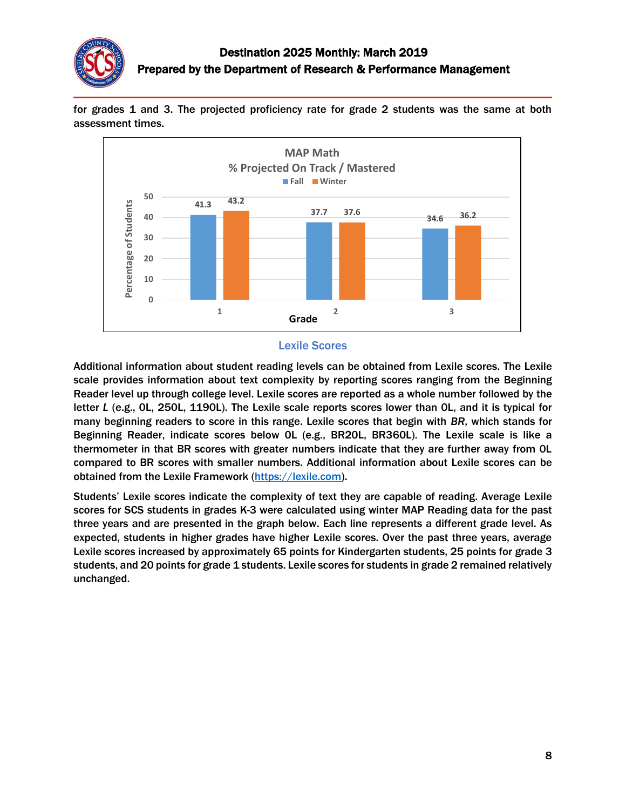

for grades 1 and 3. The projected proficiency rate for grade 2 students was the same at both assessment times.



#### Lexile Scores

Additional information about student reading levels can be obtained from Lexile scores. The Lexile scale provides information about text complexity by reporting scores ranging from the Beginning Reader level up through college level. Lexile scores are reported as a whole number followed by the letter *L* (e.g., 0L, 250L, 1190L). The Lexile scale reports scores lower than 0L, and it is typical for many beginning readers to score in this range. Lexile scores that begin with *BR*, which stands for Beginning Reader, indicate scores below 0L (e.g., BR20L, BR360L). The Lexile scale is like a thermometer in that BR scores with greater numbers indicate that they are further away from 0L compared to BR scores with smaller numbers. Additional information about Lexile scores can be obtained from the Lexile Framework [\(https://lexile.com\)](https://lexile.com/).

Students' Lexile scores indicate the complexity of text they are capable of reading. Average Lexile scores for SCS students in grades K-3 were calculated using winter MAP Reading data for the past three years and are presented in the graph below. Each line represents a different grade level. As expected, students in higher grades have higher Lexile scores. Over the past three years, average Lexile scores increased by approximately 65 points for Kindergarten students, 25 points for grade 3 students, and 20 points for grade 1 students. Lexile scores for students in grade 2 remained relatively unchanged.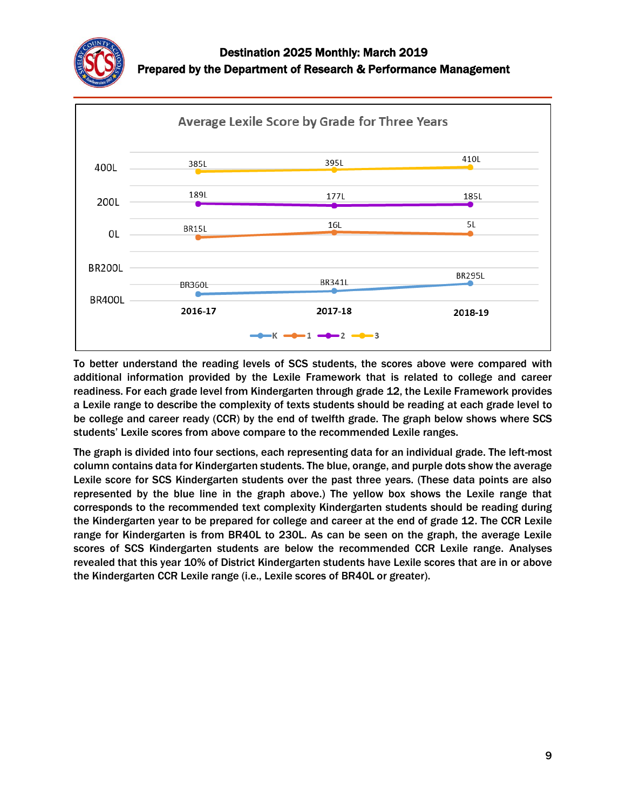



To better understand the reading levels of SCS students, the scores above were compared with additional information provided by the Lexile Framework that is related to college and career readiness. For each grade level from Kindergarten through grade 12, the Lexile Framework provides a Lexile range to describe the complexity of texts students should be reading at each grade level to be college and career ready (CCR) by the end of twelfth grade. The graph below shows where SCS students' Lexile scores from above compare to the recommended Lexile ranges.

The graph is divided into four sections, each representing data for an individual grade. The left-most column contains data for Kindergarten students. The blue, orange, and purple dots show the average Lexile score for SCS Kindergarten students over the past three years. (These data points are also represented by the blue line in the graph above.) The yellow box shows the Lexile range that corresponds to the recommended text complexity Kindergarten students should be reading during the Kindergarten year to be prepared for college and career at the end of grade 12. The CCR Lexile range for Kindergarten is from BR40L to 230L. As can be seen on the graph, the average Lexile scores of SCS Kindergarten students are below the recommended CCR Lexile range. Analyses revealed that this year 10% of District Kindergarten students have Lexile scores that are in or above the Kindergarten CCR Lexile range (i.e., Lexile scores of BR40L or greater).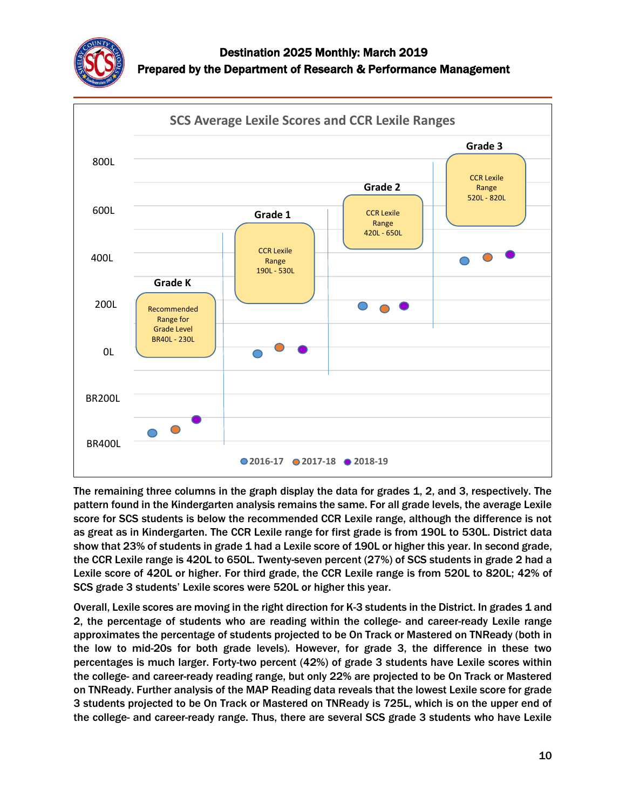



The remaining three columns in the graph display the data for grades 1, 2, and 3, respectively. The pattern found in the Kindergarten analysis remains the same. For all grade levels, the average Lexile score for SCS students is below the recommended CCR Lexile range, although the difference is not as great as in Kindergarten. The CCR Lexile range for first grade is from 190L to 530L. District data show that 23% of students in grade 1 had a Lexile score of 190L or higher this year. In second grade, the CCR Lexile range is 420L to 650L. Twenty-seven percent (27%) of SCS students in grade 2 had a Lexile score of 420L or higher. For third grade, the CCR Lexile range is from 520L to 820L; 42% of SCS grade 3 students' Lexile scores were 520L or higher this year.

Overall, Lexile scores are moving in the right direction for K-3 students in the District. In grades 1 and 2, the percentage of students who are reading within the college- and career-ready Lexile range approximates the percentage of students projected to be On Track or Mastered on TNReady (both in the low to mid-20s for both grade levels). However, for grade 3, the difference in these two percentages is much larger. Forty-two percent (42%) of grade 3 students have Lexile scores within the college- and career-ready reading range, but only 22% are projected to be On Track or Mastered on TNReady. Further analysis of the MAP Reading data reveals that the lowest Lexile score for grade 3 students projected to be On Track or Mastered on TNReady is 725L, which is on the upper end of the college- and career-ready range. Thus, there are several SCS grade 3 students who have Lexile